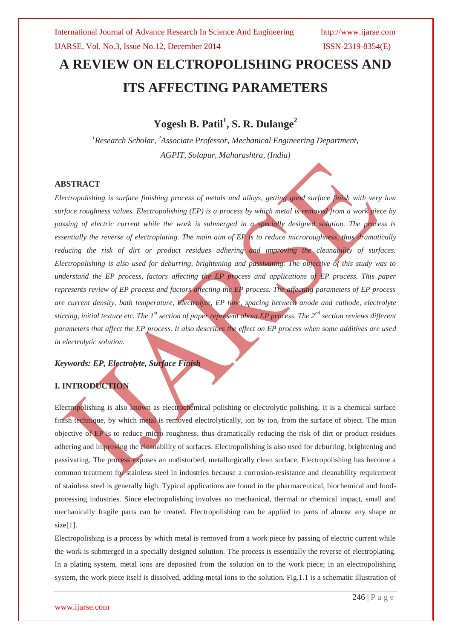# **A REVIEW ON ELCTROPOLISHING PROCESS AND ITS AFFECTING PARAMETERS**

**Yogesh B. Patil<sup>1</sup> , S. R. Dulange<sup>2</sup>**

*<sup>1</sup>Research Scholar, <sup>2</sup>Associate Professor, Mechanical Engineering Department, AGPIT, Solapur, Maharashtra, (India)*

### **ABSTRACT**

*Electropolishing is surface finishing process of metals and alloys, getting good surface finish with very low surface roughness values. Electropolishing (EP) is a process by which metal is removed from a work piece by passing of electric current while the work is submerged in a specially designed solution. The process is essentially the reverse of electroplating. The main aim of EP is to reduce microroughness, thus dramatically reducing the risk of dirt or product residues adhering and improving the cleanability of surfaces. Electropolishing is also used for deburring, brightening and passivating. The objective of this study was to understand the EP process, factors affecting the EP process and applications of EP process. This paper represents review of EP process and factors affecting the EP process. The affecting parameters of EP process are current density, bath temperature, Electrolyte, EP time, spacing between anode and cathode, electrolyte stirring, initial texture etc. The 1st section of paper represent about EP process. The 2nd section reviews different parameters that affect the EP process. It also describes the effect on EP process when some additives are used in electrolytic solution.*

# *Keywords: EP, Electrolyte, Surface Finish*

## **I. INTRODUCTION**

Electropolishing is also known as electrochemical polishing or electrolytic polishing. It is a chemical surface finish technique, by which metal is removed electrolytically, ion by ion, from the surface of object. The main objective of EP is to reduce micro roughness, thus dramatically reducing the risk of dirt or product residues adhering and improving the cleanability of surfaces. Electropolishing is also used for deburring, brightening and passivating. The process exposes an undisturbed, metallurgically clean surface. Electropolishing has become a common treatment for stainless steel in industries because a corrosion-resistance and cleanability requirement of stainless steel is generally high. Typical applications are found in the pharmaceutical, biochemical and foodprocessing industries. Since electropolishing involves no mechanical, thermal or chemical impact, small and mechanically fragile parts can be treated. Electropolishing can be applied to parts of almost any shape or  $size[1]$ .

Electropolishing is a process by which metal is removed from a work piece by passing of electric current while the work is submerged in a specially designed solution. The process is essentially the reverse of electroplating. In a plating system, metal ions are deposited from the solution on to the work piece; in an electropolishing system, the work piece itself is dissolved, adding metal ions to the solution. Fig.1.1 is a schematic illustration of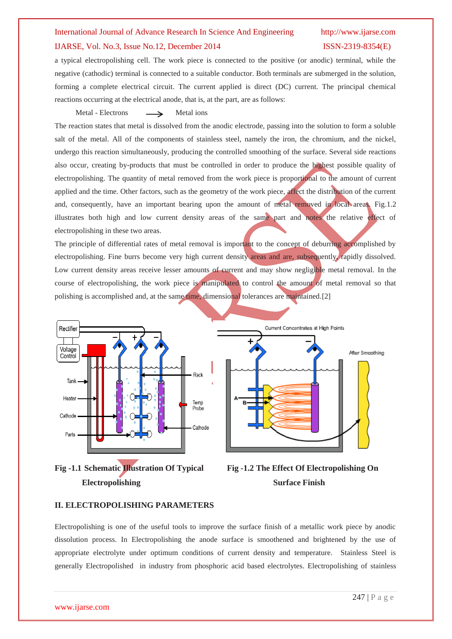#### IJARSE, Vol. No.3, Issue No.12, December 2014 ISSN-2319-8354(E)

a typical electropolishing cell. The work piece is connected to the positive (or anodic) terminal, while the negative (cathodic) terminal is connected to a suitable conductor. Both terminals are submerged in the solution, forming a complete electrical circuit. The current applied is direct (DC) current. The principal chemical reactions occurring at the electrical anode, that is, at the part, are as follows:

Metal - Electrons  $\longrightarrow$  Metal ions

The reaction states that metal is dissolved from the anodic electrode, passing into the solution to form a soluble salt of the metal. All of the components of stainless steel, namely the iron, the chromium, and the nickel, undergo this reaction simultaneously, producing the controlled smoothing of the surface. Several side reactions also occur, creating by-products that must be controlled in order to produce the highest possible quality of electropolishing. The quantity of metal removed from the work piece is proportional to the amount of current applied and the time. Other factors, such as the geometry of the work piece, affect the distribution of the current and, consequently, have an important bearing upon the amount of metal removed in local areas. Fig.1.2 illustrates both high and low current density areas of the same part and notes the relative effect of electropolishing in these two areas.

The principle of differential rates of metal removal is important to the concept of deburring accomplished by electropolishing. Fine burrs become very high current density areas and are, subsequently, rapidly dissolved. Low current density areas receive lesser amounts of current and may show negligible metal removal. In the course of electropolishing, the work piece is manipulated to control the amount of metal removal so that polishing is accomplished and, at the same time, dimensional tolerances are maintained.[2]









### **II. ELECTROPOLISHING PARAMETERS**

Electropolishing is one of the useful tools to improve the surface finish of a metallic work piece by anodic dissolution process. In Electropolishing the anode surface is smoothened and brightened by the use of appropriate electrolyte under optimum conditions of current density and temperature. Stainless Steel is generally Electropolished in industry from phosphoric acid based electrolytes. Electropolishing of stainless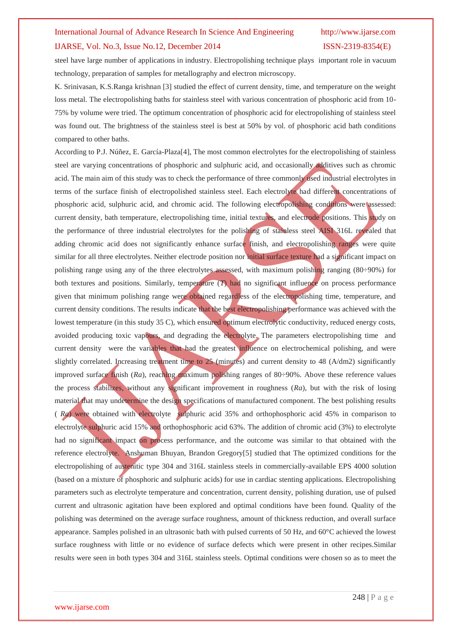### IJARSE, Vol. No.3, Issue No.12, December 2014 ISSN-2319-8354(E)

steel have large number of applications in industry. Electropolishing technique plays important role in vacuum technology, preparation of samples for metallography and electron microscopy.

K. Srinivasan, K.S.Ranga krishnan [3] studied the effect of current density, time, and temperature on the weight loss metal. The electropolishing baths for stainless steel with various concentration of phosphoric acid from 10- 75% by volume were tried. The optimum concentration of phosphoric acid for electropolishing of stainless steel was found out. The brightness of the stainless steel is best at 50% by vol. of phosphoric acid bath conditions compared to other baths.

According to P.J. Núñez, E. García-Plaza[4], The most common electrolytes for the electropolishing of stainless steel are varying concentrations of phosphoric and sulphuric acid, and occasionally additives such as chromic acid. The main aim of this study was to check the performance of three commonly used industrial electrolytes in terms of the surface finish of electropolished stainless steel. Each electrolyte had different concentrations of phosphoric acid, sulphuric acid, and chromic acid. The following electropolishing conditions were assessed: current density, bath temperature, electropolishing time, initial textures, and electrode positions. This study on the performance of three industrial electrolytes for the polishing of stainless steel AISI 316L revealed that adding chromic acid does not significantly enhance surface finish, and electropolishing ranges were quite similar for all three electrolytes. Neither electrode position nor initial surface texture had a significant impact on polishing range using any of the three electrolytes assessed, with maximum polishing ranging (80÷90%) for both textures and positions. Similarly, temperature (*T*) had no significant influence on process performance given that minimum polishing range were obtained regardless of the electropolishing time, temperature, and current density conditions. The results indicate that the best electropolishing performance was achieved with the lowest temperature (in this study 35 C), which ensured optimum electrolytic conductivity, reduced energy costs, avoided producing toxic vapours, and degrading the electrolyte. The parameters electropolishing time and current density were the variables that had the greatest influence on electrochemical polishing, and were slightly correlated. Increasing treatment time to 25 (minutes) and current density to 48 (A/dm2) significantly improved surface finish (*Ra*), reaching maximum polishing ranges of 80÷90%. Above these reference values the process stabilizes, without any significant improvement in roughness (*Ra*), but with the risk of losing material that may undetermine the design specifications of manufactured component. The best polishing results ( *Ra*) were obtained with electrolyte sulphuric acid 35% and orthophosphoric acid 45% in comparison to electrolyte sulphuric acid 15% and orthophosphoric acid 63%. The addition of chromic acid (3%) to electrolyte had no significant impact on process performance, and the outcome was similar to that obtained with the reference electrolyte. Anshuman Bhuyan, Brandon Gregory[5] studied that The optimized conditions for the electropolishing of austenitic type 304 and 316L stainless steels in commercially-available EPS 4000 solution (based on a mixture of phosphoric and sulphuric acids) for use in cardiac stenting applications. Electropolishing parameters such as electrolyte temperature and concentration, current density, polishing duration, use of pulsed current and ultrasonic agitation have been explored and optimal conditions have been found. Quality of the polishing was determined on the average surface roughness, amount of thickness reduction, and overall surface appearance. Samples polished in an ultrasonic bath with pulsed currents of 50 Hz, and 60°C achieved the lowest surface roughness with little or no evidence of surface defects which were present in other recipes.Similar results were seen in both types 304 and 316L stainless steels. Optimal conditions were chosen so as to meet the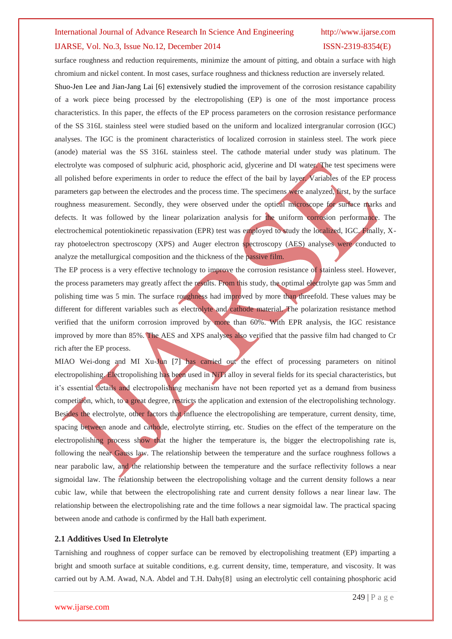### IJARSE, Vol. No.3, Issue No.12, December 2014 ISSN-2319-8354(E)

surface roughness and reduction requirements, minimize the amount of pitting, and obtain a surface with high chromium and nickel content. In most cases, surface roughness and thickness reduction are inversely related.

Shuo-Jen Lee and Jian-Jang Lai [6] extensively studied the improvement of the corrosion resistance capability of a work piece being processed by the electropolishing (EP) is one of the most importance process characteristics. In this paper, the effects of the EP process parameters on the corrosion resistance performance of the SS 316L stainless steel were studied based on the uniform and localized intergranular corrosion (IGC) analyses. The IGC is the prominent characteristics of localized corrosion in stainless steel. The work piece (anode) material was the SS 316L stainless steel. The cathode material under study was platinum. The electrolyte was composed of sulphuric acid, phosphoric acid, glycerine and DI water. The test specimens were all polished before experiments in order to reduce the effect of the bail by layer. Variables of the EP process parameters gap between the electrodes and the process time. The specimens were analyzed, first, by the surface roughness measurement. Secondly, they were observed under the optical microscope for surface marks and defects. It was followed by the linear polarization analysis for the uniform corrosion performance. The electrochemical potentiokinetic repassivation (EPR) test was employed to study the localized, IGC. Finally, Xray photoelectron spectroscopy (XPS) and Auger electron spectroscopy (AES) analyses were conducted to analyze the metallurgical composition and the thickness of the passive film.

The EP process is a very effective technology to improve the corrosion resistance of stainless steel. However, the process parameters may greatly affect the results. From this study, the optimal electrolyte gap was 5mm and polishing time was 5 min. The surface roughness had improved by more than threefold. These values may be different for different variables such as electrolyte and cathode material. The polarization resistance method verified that the uniform corrosion improved by more than 60%. With EPR analysis, the IGC resistance improved by more than 85%. The AES and XPS analyses also verified that the passive film had changed to Cr rich after the EP process.

MIAO Wei-dong and MI Xu-Jun [7] has carried out the effect of processing parameters on nitinol electropolishing. Electropolishing has been used in NiTi alloy in several fields for its special characteristics, but it's essential details and electropolishing mechanism have not been reported yet as a demand from business competition, which, to a great degree, restricts the application and extension of the electropolishing technology. Besides the electrolyte, other factors that influence the electropolishing are temperature, current density, time, spacing between anode and cathode, electrolyte stirring, etc. Studies on the effect of the temperature on the electropolishing process show that the higher the temperature is, the bigger the electropolishing rate is, following the near Gauss law. The relationship between the temperature and the surface roughness follows a near parabolic law, and the relationship between the temperature and the surface reflectivity follows a near sigmoidal law. The relationship between the electropolishing voltage and the current density follows a near cubic law, while that between the electropolishing rate and current density follows a near linear law. The relationship between the electropolishing rate and the time follows a near sigmoidal law. The practical spacing between anode and cathode is confirmed by the Hall bath experiment.

### **2.1 Additives Used In Eletrolyte**

Tarnishing and roughness of copper surface can be removed by electropolishing treatment (EP) imparting a bright and smooth surface at suitable conditions, e.g. current density, time, temperature, and viscosity. It was carried out by A.M. Awad, N.A. Abdel and T.H. Dahy[8] using an electrolytic cell containing phosphoric acid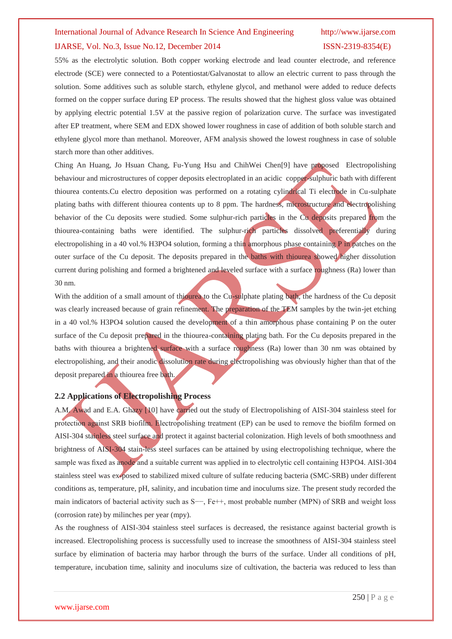#### IJARSE, Vol. No.3, Issue No.12, December 2014 ISSN-2319-8354(E)

55% as the electrolytic solution. Both copper working electrode and lead counter electrode, and reference electrode (SCE) were connected to a Potentiostat/Galvanostat to allow an electric current to pass through the solution. Some additives such as soluble starch, ethylene glycol, and methanol were added to reduce defects formed on the copper surface during EP process. The results showed that the highest gloss value was obtained by applying electric potential 1.5V at the passive region of polarization curve. The surface was investigated after EP treatment, where SEM and EDX showed lower roughness in case of addition of both soluble starch and ethylene glycol more than methanol. Moreover, AFM analysis showed the lowest roughness in case of soluble starch more than other additives.

Ching An Huang, Jo Hsuan Chang, Fu-Yung Hsu and ChihWei Chen[9] have proposed Electropolishing behaviour and microstructures of copper deposits electroplated in an acidic copper-sulphuric bath with different thiourea contents.Cu electro deposition was performed on a rotating cylindrical Ti electrode in Cu-sulphate plating baths with different thiourea contents up to 8 ppm. The hardness, microstructure and electropolishing behavior of the Cu deposits were studied. Some sulphur-rich particles in the Cu deposits prepared from the thiourea-containing baths were identified. The sulphur-rich particles dissolved preferentially during electropolishing in a 40 vol.% H3PO4 solution, forming a thin amorphous phase containing P in patches on the outer surface of the Cu deposit. The deposits prepared in the baths with thiourea showed higher dissolution current during polishing and formed a brightened and leveled surface with a surface roughness (Ra) lower than 30 nm.

With the addition of a small amount of thiourea to the Cu-sulphate plating bath, the hardness of the Cu deposit was clearly increased because of grain refinement. The preparation of the TEM samples by the twin-jet etching in a 40 vol.% H3PO4 solution caused the development of a thin amorphous phase containing P on the outer surface of the Cu deposit prepared in the thiourea-containing plating bath. For the Cu deposits prepared in the baths with thiourea a brightened surface with a surface roughness (Ra) lower than 30 nm was obtained by electropolishing, and their anodic dissolution rate during electropolishing was obviously higher than that of the deposit prepared in a thiourea free bath.

### **2.2 Applications of Electropolishing Process**

A.M. Awad and E.A. Ghazy [10] have carried out the study of Electropolishing of AISI-304 stainless steel for protection against SRB biofilm. Electropolishing treatment (EP) can be used to remove the biofilm formed on AISI-304 stainless steel surface and protect it against bacterial colonization. High levels of both smoothness and brightness of AISI-304 stain-less steel surfaces can be attained by using electropolishing technique, where the sample was fixed as anode and a suitable current was applied in to electrolytic cell containing H3PO4. AISI-304 stainless steel was ex-posed to stabilized mixed culture of sulfate reducing bacteria (SMC-SRB) under different conditions as, temperature, pH, salinity, and incubation time and inoculums size. The present study recorded the main indicators of bacterial activity such as S−−, Fe++, most probable number (MPN) of SRB and weight loss (corrosion rate) by milinches per year (mpy).

As the roughness of AISI-304 stainless steel surfaces is decreased, the resistance against bacterial growth is increased. Electropolishing process is successfully used to increase the smoothness of AISI-304 stainless steel surface by elimination of bacteria may harbor through the burrs of the surface. Under all conditions of pH, temperature, incubation time, salinity and inoculums size of cultivation, the bacteria was reduced to less than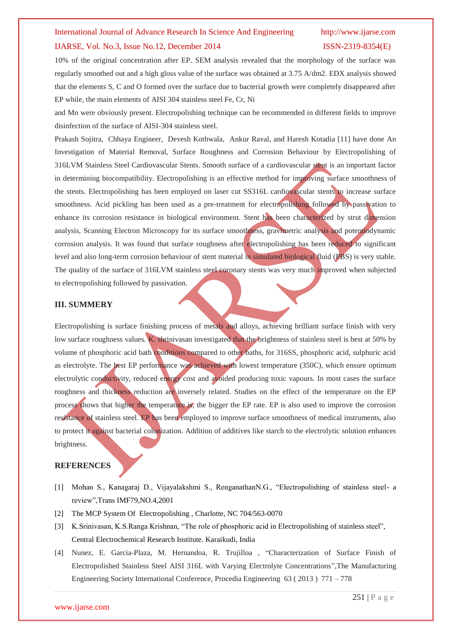### IJARSE, Vol. No.3, Issue No.12, December 2014 ISSN-2319-8354(E)

10% of the original concentration after EP. SEM analysis revealed that the morphology of the surface was regularly smoothed out and a high gloss value of the surface was obtained at 3.75 A/dm2. EDX analysis showed that the elements S, C and O formed over the surface due to bacterial growth were completely disappeared after EP while, the main elements of AISI 304 stainless steel Fe, Cr, Ni

and Mn were obviously present. Electropolishing technique can be recommended in different fields to improve disinfection of the surface of AISI-304 stainless steel.

Prakash Sojitra, Chhaya Engineer, Devesh Kothwala, Ankur Raval, and Haresh Kotadia [11] have done An Investigation of Material Removal, Surface Roughness and Corrosion Behaviour by Electropolishing of 316LVM Stainless Steel Cardiovascular Stents. Smooth surface of a cardiovascular stent is an important factor in determining biocompatibility. Electropolishing is an effective method for improving surface smoothness of the stents. Electropolishing has been employed on laser cut SS316L cardiovascular stents to increase surface smoothness. Acid pickling has been used as a pre-treatment for electropolishing followed by passivation to enhance its corrosion resistance in biological environment. Stent has been characterized by strut dimension analysis, Scanning Electron Microscopy for its surface smoothness, gravimetric analysis and potentiodynamic corrosion analysis. It was found that surface roughness after electropolishing has been reduced to significant level and also long-term corrosion behaviour of stent material in simulated biological fluid (PBS) is very stable. The quality of the surface of 316LVM stainless steel coronary stents was very much improved when subjected to electropolishing followed by passivation.

#### **III. SUMMERY**

Electropolishing is surface finishing process of metals and alloys, achieving brilliant surface finish with very low surface roughness values. K. shrinivasan investigated that the brightness of stainless steel is best at 50% by volume of phosphoric acid bath conditions compared to other baths, for 316SS, phosphoric acid, sulphuric acid as electrolyte. The best EP performance was achieved with lowest temperature (350C), which ensure optimum electrolytic conductivity, reduced energy cost and avoided producing toxic vapours. In most cases the surface roughness and thickness reduction are inversely related. Studies on the effect of the temperature on the EP process shows that higher the temperature is, the bigger the EP rate. EP is also used to improve the corrosion resistance of stainless steel. EP has been employed to improve surface smoothness of medical instruments, also to protect it against bacterial colonization. Addition of additives like starch to the electrolytic solution enhances brightness.

### **REFERENCES**

- [1] Mohan S., Kanagaraj D., Vijayalakshmi S., RenganathanN.G., "Electropolishing of stainless steel- a review",Trans IMF79,NO.4,2001
- [2] The MCP System Of Electropolishing , Charlotte, NC 704/563-0070
- [3] K.Srinivasan, K.S.Ranga Krishnan, "The role of phosphoric acid in Electropolishing of stainless steel", Central Electrochemical Research Institute. Karaikudi, India
- [4] Nunez, E. Garcia-Plaza, M. Hernandoa, R. Trujilloa , "Characterization of Surface Finish of Electropolished Stainless Steel AISI 316L with Varying Electrolyte Concentrations",The Manufacturing Engineering Society International Conference, Procedia Engineering 63 ( 2013 ) 771 – 778